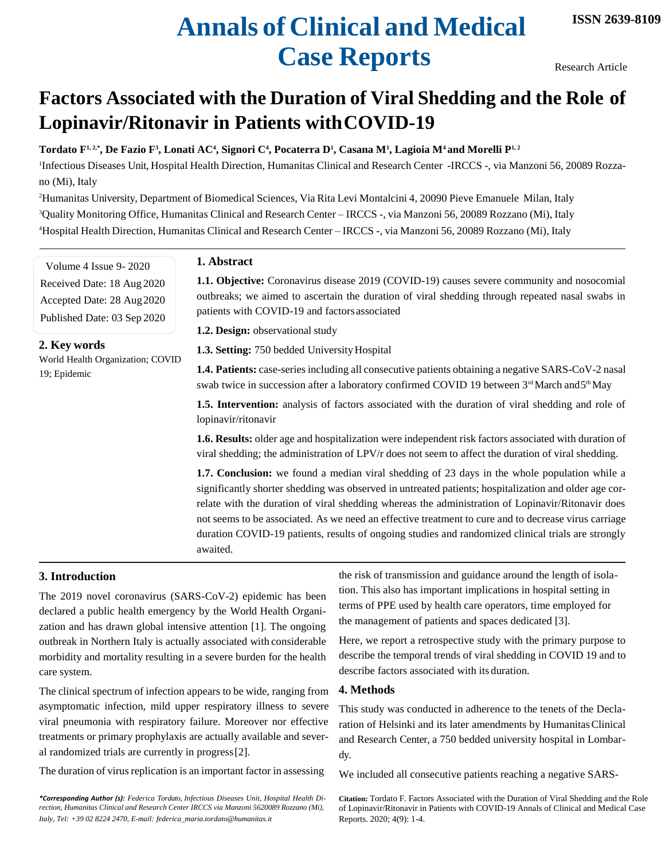# **Annals of Clinical and Medical Case Reports**

Research Article

## **Factors Associated with the Duration of Viral Shedding and the Role of Lopinavir/Ritonavir in Patients withCOVID-19**

**Tordato F1, 2,\*, De Fazio F<sup>3</sup> , Lonati AC<sup>4</sup> , Signori C<sup>4</sup> , Pocaterra D<sup>1</sup> , Casana M<sup>1</sup> , Lagioia M4 and Morelli P1, 2**

1 Infectious Diseases Unit, Hospital Health Direction, Humanitas Clinical and Research Center -IRCCS -, via Manzoni 56, 20089 Rozzano (Mi), Italy

<sup>2</sup>Humanitas University, Department of Biomedical Sciences, Via Rita Levi Montalcini 4, 20090 Pieve Emanuele Milan, Italy <sup>3</sup>Quality Monitoring Office, Humanitas Clinical and Research Center – IRCCS -, via Manzoni 56, 20089 Rozzano (Mi), Italy <sup>4</sup>Hospital Health Direction, Humanitas Clinical and Research Center – IRCCS -, via Manzoni 56, 20089 Rozzano (Mi), Italy

Volume 4 Issue 9- 2020 Received Date: 18 Aug 2020 Accepted Date: 28 Aug2020 Published Date: 03 Sep 2020

#### **2. Key words**

World Health Organization; COVID 19; Epidemic

#### **1. Abstract**

**1.1. Objective:** Coronavirus disease 2019 (COVID-19) causes severe community and nosocomial outbreaks; we aimed to ascertain the duration of viral shedding through repeated nasal swabs in patients with COVID-19 and factors associated

**1.2. Design:** observational study

1.3. Setting: 750 bedded University Hospital

**1.4. Patients:** case-seriesincluding all consecutive patients obtaining a negative SARS-CoV-2 nasal swab twice in succession after a laboratory confirmed COVID 19 between  $3<sup>rd</sup>$  March and  $5<sup>th</sup>$  May

**1.5. Intervention:** analysis of factors associated with the duration of viral shedding and role of lopinavir/ritonavir

**1.6. Results:** older age and hospitalization were independent risk factors associated with duration of viral shedding; the administration of LPV/r does not seem to affect the duration of viral shedding.

**1.7. Conclusion:** we found a median viral shedding of 23 days in the whole population while a significantly shorter shedding was observed in untreated patients; hospitalization and older age correlate with the duration of viral shedding whereas the administration of Lopinavir/Ritonavir does not seems to be associated. As we need an effective treatment to cure and to decrease virus carriage duration COVID-19 patients, results of ongoing studies and randomized clinical trials are strongly awaited.

### **3. Introduction**

The 2019 novel coronavirus (SARS-CoV-2) epidemic has been declared a public health emergency by the World Health Organization and has drawn global intensive attention [1]. The ongoing outbreak in Northern Italy is actually associated with considerable morbidity and mortality resulting in a severe burden for the health care system.

The clinical spectrum of infection appears to be wide, ranging from asymptomatic infection, mild upper respiratory illness to severe viral pneumonia with respiratory failure. Moreover nor effective treatments or primary prophylaxis are actually available and several randomized trials are currently in progress[2].

The duration of virus replication is an important factor in assessing

*Italy, [Tel: +39 02 8224 2470, E-mail: federica\\_maria.tordato@humanitas.it](mailto:federica_maria.tordato@humanitas.it)* Reports. 2020; 4(9): 1-4. *\*Corresponding Author (s): Federica Tordato, Infectious Diseases Unit, Hospital Health Direction, Humanitas Clinical and Research Center IRCCS via Manzoni 5620089 Rozzano (Mi),*

the risk of transmission and guidance around the length of isolation. This also has important implications in hospital setting in terms of PPE used by health care operators, time employed for the management of patients and spaces dedicated [3].

Here, we report a retrospective study with the primary purpose to describe the temporal trends of viral shedding in COVID 19 and to describe factors associated with its duration.

#### **4. Methods**

This study was conducted in adherence to the tenets of the Declaration of Helsinki and its later amendments by HumanitasClinical and Research Center, a 750 bedded university hospital in Lombardy.

We included all consecutive patients reaching a negative SARS-

**Citation:** Tordato F. Factors Associated with the Duration of Viral Shedding and the Role of Lopinavir/Ritonavir in Patients with COVID-19 Annals of Clinical and Medical Case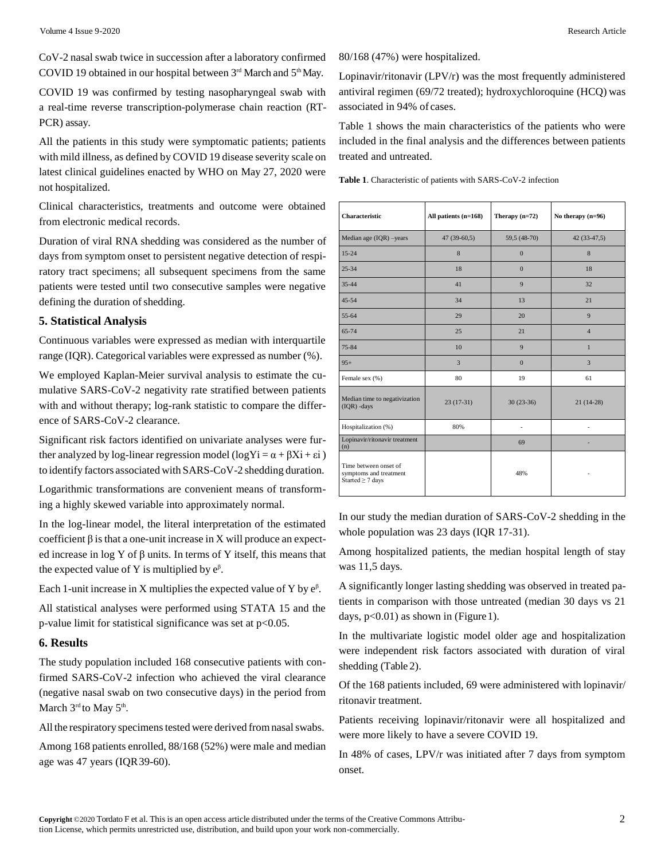CoV-2 nasal swab twice in succession after a laboratory confirmed COVID 19 obtained in our hospital between  $3<sup>rd</sup>$  March and  $5<sup>th</sup>$  May.

COVID 19 was confirmed by testing nasopharyngeal swab with a real-time reverse transcription-polymerase chain reaction (RT-PCR) assay.

All the patients in this study were symptomatic patients; patients with mild illness, as defined by COVID 19 disease severity scale on latest clinical guidelines enacted by WHO on May 27, 2020 were not hospitalized.

Clinical characteristics, treatments and outcome were obtained from electronic medical records.

Duration of viral RNA shedding was considered as the number of days from symptom onset to persistent negative detection of respiratory tract specimens; all subsequent specimens from the same patients were tested until two consecutive samples were negative defining the duration of shedding.

#### **5. Statistical Analysis**

Continuous variables were expressed as median with interquartile range (IQR). Categorical variables were expressed as number (%).

We employed Kaplan-Meier survival analysis to estimate the cumulative SARS-CoV-2 negativity rate stratified between patients with and without therapy; log-rank statistic to compare the difference of SARS-CoV-2 clearance.

Significant risk factors identified on univariate analyses were further analyzed by log-linear regression model (logYi =  $\alpha + \beta X$ i + εi) to identify factors associated with SARS-CoV-2 shedding duration.

Logarithmic transformations are convenient means of transforming a highly skewed variable into approximately normal.

In the log-linear model, the literal interpretation of the estimated coefficient  $\beta$  is that a one-unit increase in X will produce an expected increase in log Y of β units. In terms of Y itself, this means that the expected value of Y is multiplied by  $e^{\beta}$ .

Each 1-unit increase in X multiplies the expected value of Y by  $e^{\beta}$ .

All statistical analyses were performed using STATA 15 and the p-value limit for statistical significance was set at p<0.05.

#### **6. Results**

The study population included 168 consecutive patients with confirmed SARS-CoV-2 infection who achieved the viral clearance (negative nasal swab on two consecutive days) in the period from March 3rd to May 5<sup>th</sup>.

All the respiratory specimens tested were derived from nasal swabs.

Among 168 patients enrolled, 88/168 (52%) were male and median age was 47 years (IQR39-60).

80/168 (47%) were hospitalized.

Lopinavir/ritonavir (LPV/r) was the most frequently administered antiviral regimen (69/72 treated); hydroxychloroquine (HCQ) was associated in 94% of cases.

Table 1 shows the main characteristics of the patients who were included in the final analysis and the differences between patients treated and untreated.

|  |  |  | <b>Table 1.</b> Characteristic of patients with SARS-CoV-2 infection |  |
|--|--|--|----------------------------------------------------------------------|--|
|--|--|--|----------------------------------------------------------------------|--|

**Characteristic All patients (n=168) Therapy (n=72) No therapy (n=96)** Median age (IQR) –years 47 (39-60,5) 59,5 (48-70) 42 (33-47,5) 15-24 8 0 8 25-34 18 18 0 18 35-44 41 9 32 45-54 21 55-64 29 20 9 65-74 25 21 4 75-84 10 9 1 95+ 3 0 3 Female sex  $(\%)$  80 19 19 61 Median time to negativization Median time to negativization 23 (17-31)  $30(23-36)$  21 (14-28) Hospitalization (%) 80% - - Lopinavir/ritonavir treatment  $\text{Lop}$  69  $\text{Lop}$  69  $\text{Lop}$ Time between onset of symptoms and treatment Started  $\geq$  7 days 48% -

In our study the median duration of SARS-CoV-2 shedding in the whole population was 23 days (IQR 17-31).

Among hospitalized patients, the median hospital length of stay was 11,5 days.

A significantly longer lasting shedding was observed in treated patients in comparison with those untreated (median 30 days vs 21 days,  $p<0.01$ ) as shown in (Figure 1).

In the multivariate logistic model older age and hospitalization were independent risk factors associated with duration of viral shedding (Table 2).

Of the 168 patients included, 69 were administered with lopinavir/ ritonavir treatment.

Patients receiving lopinavir/ritonavir were all hospitalized and were more likely to have a severe COVID 19.

In 48% of cases, LPV/r was initiated after 7 days from symptom onset.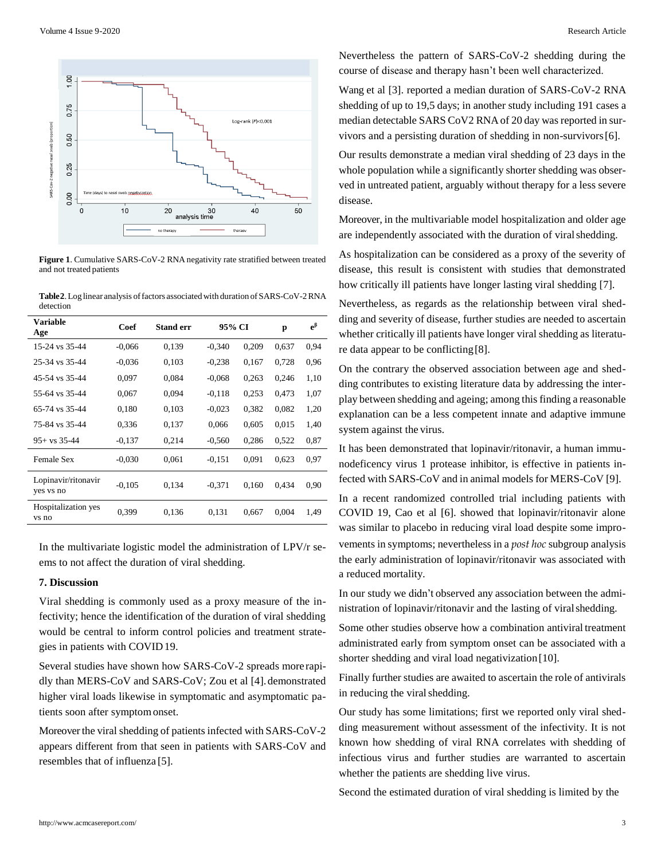

**Figure 1**. Cumulative SARS-CoV-2 RNA negativity rate stratified between treated and not treated patients

**Table2**.Log linear analysis offactors associatedwith duration of SARS-CoV-2RNA detection

| Variable<br>Age                  | Coef     | <b>Stand err</b> | 95% CI   |       | p     | $e^{\beta}$ |
|----------------------------------|----------|------------------|----------|-------|-------|-------------|
| 15-24 vs 35-44                   | $-0.066$ | 0.139            | $-0.340$ | 0,209 | 0.637 | 0.94        |
| 25-34 vs 35-44                   | $-0,036$ | 0,103            | $-0.238$ | 0,167 | 0,728 | 0,96        |
| 45-54 vs 35-44                   | 0.097    | 0,084            | $-0.068$ | 0,263 | 0,246 | 1,10        |
| 55-64 vs 35-44                   | 0.067    | 0.094            | $-0.118$ | 0,253 | 0.473 | 1,07        |
| 65-74 vs 35-44                   | 0.180    | 0,103            | $-0.023$ | 0,382 | 0,082 | 1,20        |
| 75-84 vs 35-44                   | 0,336    | 0,137            | 0.066    | 0,605 | 0.015 | 1.40        |
| $95 + vs. 35-44$                 | $-0.137$ | 0,214            | $-0.560$ | 0,286 | 0,522 | 0.87        |
| <b>Female Sex</b>                | $-0.030$ | 0.061            | $-0.151$ | 0.091 | 0,623 | 0.97        |
| Lopinavir/ritonavir<br>yes vs no | $-0.105$ | 0,134            | $-0.371$ | 0.160 | 0.434 | 0,90        |
| Hospitalization yes<br>vs no     | 0.399    | 0,136            | 0,131    | 0,667 | 0,004 | 1,49        |

In the multivariate logistic model the administration of LPV/r seems to not affect the duration of viral shedding.

#### **7. Discussion**

Viral shedding is commonly used as a proxy measure of the infectivity; hence the identification of the duration of viral shedding would be central to inform control policies and treatment strategies in patients with COVID19.

Several studies have shown how SARS-CoV-2 spreads more rapidly than MERS-CoV and SARS-CoV; Zou et al [4].demonstrated higher viral loads likewise in symptomatic and asymptomatic patients soon after symptomonset.

Moreover the viral shedding of patients infected with SARS-CoV-2 appears different from that seen in patients with SARS-CoV and resembles that of influenza [5].

Nevertheless the pattern of SARS-CoV-2 shedding during the course of disease and therapy hasn't been well characterized.

Wang et al [3]. reported a median duration of SARS-CoV-2 RNA shedding of up to 19,5 days; in another study including 191 cases a median detectable SARS CoV2 RNA of 20 day was reported in survivors and a persisting duration of shedding in non-survivors[6].

Our results demonstrate a median viral shedding of 23 days in the whole population while a significantly shorter shedding was observed in untreated patient, arguably without therapy for a less severe disease.

Moreover, in the multivariable model hospitalization and older age are independently associated with the duration of viralshedding.

As hospitalization can be considered as a proxy of the severity of disease, this result is consistent with studies that demonstrated how critically ill patients have longer lasting viral shedding [7].

Nevertheless, as regards as the relationship between viral shedding and severity of disease, further studies are needed to ascertain whether critically ill patients have longer viral shedding as literature data appear to be conflicting[8].

On the contrary the observed association between age and shedding contributes to existing literature data by addressing the interplay between shedding and ageing; among this finding a reasonable explanation can be a less competent innate and adaptive immune system against the virus.

It has been demonstrated that lopinavir/ritonavir, a human immunodeficency virus 1 protease inhibitor, is effective in patients infected with SARS-CoV and in animal models for MERS-CoV [9].

In a recent randomized controlled trial including patients with COVID 19, Cao et al [6]. showed that lopinavir/ritonavir alone was similar to placebo in reducing viral load despite some improvements in symptoms; nevertheless in a *post hoc* subgroup analysis the early administration of lopinavir/ritonavir was associated with a reduced mortality.

In our study we didn't observed any association between the administration of lopinavir/ritonavir and the lasting of viralshedding.

Some other studies observe how a combination antiviral treatment administrated early from symptom onset can be associated with a shorter shedding and viral load negativization [10].

Finally further studies are awaited to ascertain the role of antivirals in reducing the viral shedding.

Our study has some limitations; first we reported only viral shedding measurement without assessment of the infectivity. It is not known how shedding of viral RNA correlates with shedding of infectious virus and further studies are warranted to ascertain whether the patients are shedding live virus.

Second the estimated duration of viral shedding is limited by the